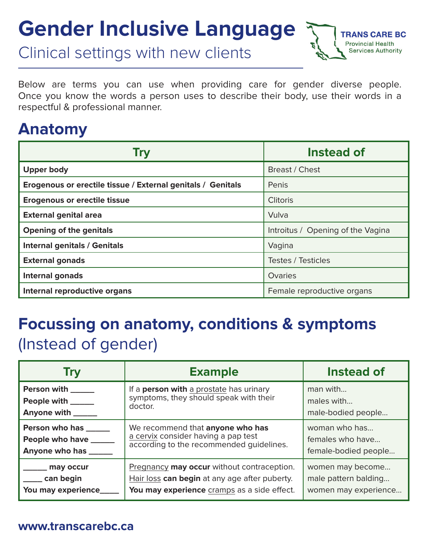# **Gender Inclusive Language**

Clinical settings with new clients

Below are terms you can use when providing care for gender diverse people. Once you know the words a person uses to describe their body, use their words in a respectful & professional manner.

 $E$  BC

### **Anatomy**

| Try                                                         | Instead of                        |
|-------------------------------------------------------------|-----------------------------------|
| <b>Upper body</b>                                           | Breast / Chest                    |
| Erogenous or erectile tissue / External genitals / Genitals | Penis                             |
| <b>Erogenous or erectile tissue</b>                         | <b>Clitoris</b>                   |
| <b>External genital area</b>                                | Vulva                             |
| <b>Opening of the genitals</b>                              | Introitus / Opening of the Vagina |
| <b>Internal genitals / Genitals</b>                         | Vagina                            |
| <b>External gonads</b>                                      | Testes / Testicles                |
| Internal gonads                                             | Ovaries                           |
| Internal reproductive organs                                | Female reproductive organs        |

# **Focussing on anatomy, conditions & symptoms**  (Instead of gender)

| Try                  | <b>Example</b>                                 | Instead of           |
|----------------------|------------------------------------------------|----------------------|
| <b>Person with</b>   | If a <b>person with</b> a prostate has urinary | man with             |
| People with _____    | symptoms, they should speak with their         | males with           |
| Anyone with _____    | doctor.                                        | male-bodied people   |
| Person who has _____ | We recommend that anyone who has               | woman who has        |
| People who have ____ | a cervix consider having a pap test            | females who have     |
| Anyone who has       | according to the recommended guidelines.       | female-bodied people |
| may occur            | Pregnancy may occur without contraception.     | women may become     |
| _ can begin          | Hair loss can begin at any age after puberty.  | male pattern balding |
| You may experience   | You may experience cramps as a side effect.    | women may experience |

#### **www.transcarebc.ca**